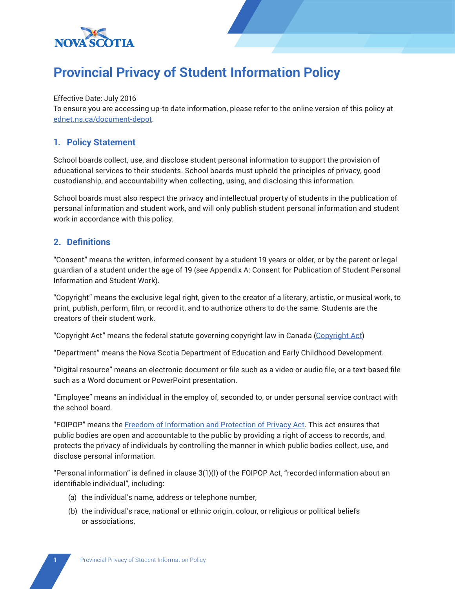

# **Provincial Privacy of Student Information Policy**

### Effective Date: July 2016

To ensure you are accessing up-to date information, please refer to the online version of this policy at [ednet.ns.ca/document-depot.](http://www.ednet.ns.ca/document-depot)

### **1. Policy Statement**

School boards collect, use, and disclose student personal information to support the provision of educational services to their students. School boards must uphold the principles of privacy, good custodianship, and accountability when collecting, using, and disclosing this information.

School boards must also respect the privacy and intellectual property of students in the publication of personal information and student work, and will only publish student personal information and student work in accordance with this policy.

### **2. Definitions**

"Consent" means the written, informed consent by a student 19 years or older, or by the parent or legal guardian of a student under the age of 19 (see Appendix A: Consent for Publication of Student Personal Information and Student Work).

"Copyright" means the exclusive legal right, given to the creator of a literary, artistic, or musical work, to print, publish, perform, film, or record it, and to authorize others to do the same. Students are the creators of their student work.

"Copyright Act" means the federal statute governing copyright law in Canada [\(Copyright](http://laws-lois.justice.gc.ca/eng/acts/C-42/Index.html) Act)

"Department" means the Nova Scotia Department of Education and Early Childhood Development.

"Digital resource" means an electronic document or file such as a video or audio file, or a text-based file such as a Word document or PowerPoint presentation.

"Employee" means an individual in the employ of, seconded to, or under personal service contract with the school board.

"FOIPOP" means the [Freedom of Information and Protection of Privacy Act](http://nslegislature.ca/legc/statutes/freedom%20of%20information%20and%20protection%20of%20privacy.pdf). This act ensures that public bodies are open and accountable to the public by providing a right of access to records, and protects the privacy of individuals by controlling the manner in which public bodies collect, use, and disclose personal information.

"Personal information" is defined in clause 3(1)(l) of the FOIPOP Act, "recorded information about an identifiable individual", including:

- (a) the individual's name, address or telephone number,
- (b) the individual's race, national or ethnic origin, colour, or religious or political beliefs or associations,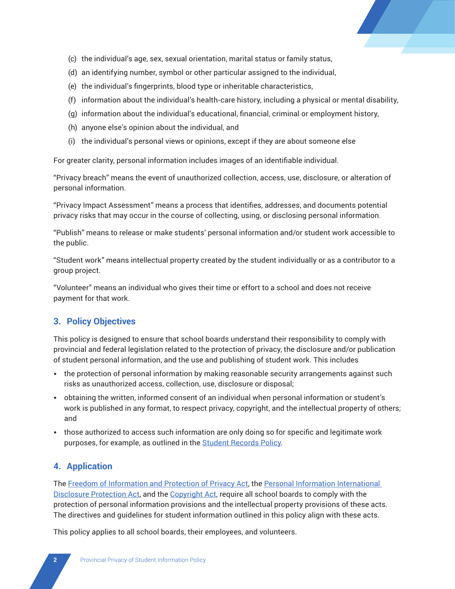

- (c) the individual's age, sex, sexual orientation, marital status or family status,
- (d) an identifying number, symbol or other particular assigned to the individual,
- (e) the individual's fingerprints, blood type or inheritable characteristics,
- (f) information about the individual's health-care history, including a physical or mental disability,
- (g) information about the individual's educational, financial, criminal or employment history,
- (h) anyone else's opinion about the individual, and
- (i) the individual's personal views or opinions, except if they are about someone else

For greater clarity, personal information includes images of an identifiable individual.

"Privacy breach" means the event of unauthorized collection, access, use, disclosure, or alteration of personal information.

"Privacy Impact Assessment" means a process that identifies, addresses, and documents potential privacy risks that may occur in the course of collecting, using, or disclosing personal information.

"Publish" means to release or make students' personal information and/or student work accessible to the public.

"Student work" means intellectual property created by the student individually or as a contributor to a group project.

"Volunteer" means an individual who gives their time or effort to a school and does not receive payment for that work.

### **3. Policy Objectives**

This policy is designed to ensure that school boards understand their responsibility to comply with provincial and federal legislation related to the protection of privacy, the disclosure and/or publication of student personal information, and the use and publishing of student work. This includes

- the protection of personal information by making reasonable security arrangements against such risks as unauthorized access, collection, use, disclosure or disposal;
- obtaining the written, informed consent of an individual when personal information or student's work is published in any format, to respect privacy, copyright, and the intellectual property of others; and
- those authorized to access such information are only doing so for specific and legitimate work purposes, for example, as outlined in the [Student Records Policy](http://studentservices.ednet.ns.ca/sites/default/files/StudentRecordsPolicy.pdf)*.*

### **4. Application**

The [Freedom of Information and Protection of Privacy Act](http://nslegislature.ca/legc/statutes/freedom%20of%20information%20and%20protection%20of%20privacy.pdf), the [Personal Information International](http://nslegislature.ca/legc/)  [Disclosure Protection Act,](http://nslegislature.ca/legc/) and the [Copyright Act](http://laws-lois.justice.gc.ca/eng/acts/C-42/Index.html), require all school boards to comply with the protection of personal information provisions and the intellectual property provisions of these acts*.*  The directives and guidelines for student information outlined in this policy align with these acts.

This policy applies to all school boards, their employees, and volunteers.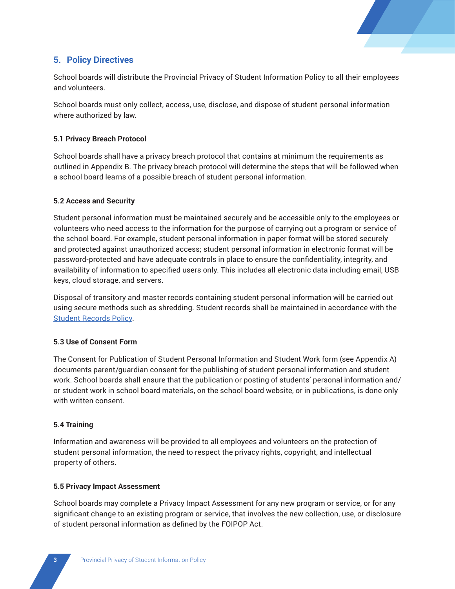

# **5. Policy Directives**

School boards will distribute the Provincial Privacy of Student Information Policy to all their employees and volunteers.

School boards must only collect, access, use, disclose, and dispose of student personal information where authorized by law.

### **5.1 Privacy Breach Protocol**

School boards shall have a privacy breach protocol that contains at minimum the requirements as outlined in Appendix B. The privacy breach protocol will determine the steps that will be followed when a school board learns of a possible breach of student personal information.

### **5.2 Access and Security**

Student personal information must be maintained securely and be accessible only to the employees or volunteers who need access to the information for the purpose of carrying out a program or service of the school board. For example, student personal information in paper format will be stored securely and protected against unauthorized access; student personal information in electronic format will be password-protected and have adequate controls in place to ensure the confidentiality, integrity, and availability of information to specified users only. This includes all electronic data including email, USB keys, cloud storage, and servers.

Disposal of transitory and master records containing student personal information will be carried out using secure methods such as shredding. Student records shall be maintained in accordance with the [Student Records](http://studentservices.ednet.ns.ca/sites/default/files/StudentRecordsPolicy.pdf) Policy.

### **5.3 Use of Consent Form**

The Consent for Publication of Student Personal Information and Student Work form (see Appendix A) documents parent/guardian consent for the publishing of student personal information and student work. School boards shall ensure that the publication or posting of students' personal information and/ or student work in school board materials, on the school board website, or in publications, is done only with written consent.

### **5.4 Training**

Information and awareness will be provided to all employees and volunteers on the protection of student personal information, the need to respect the privacy rights, copyright, and intellectual property of others.

### **5.5 Privacy Impact Assessment**

School boards may complete a Privacy Impact Assessment for any new program or service, or for any significant change to an existing program or service, that involves the new collection, use, or disclosure of student personal information as defined by the FOIPOP Act.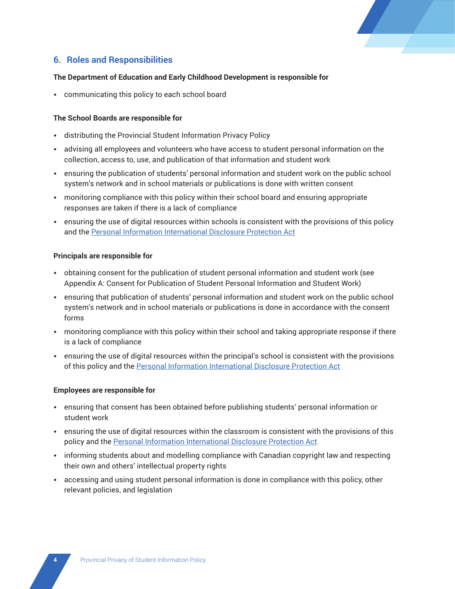

# **6. Roles and Responsibilities**

#### **The Department of Education and Early Childhood Development is responsible for**

• communicating this policy to each school board

#### **The School Boards are responsible for**

- distributing the Provincial Student Information Privacy Policy
- advising all employees and volunteers who have access to student personal information on the collection, access to, use, and publication of that information and student work
- ensuring the publication of students' personal information and student work on the public school system's network and in school materials or publications is done with written consent
- monitoring compliance with this policy within their school board and ensuring appropriate responses are taken if there is a lack of compliance
- ensuring the use of digital resources within schools is consistent with the provisions of this policy and the [Personal Information International Disclosure Protection Act](http://nslegislature.ca/legc/)

#### **Principals are responsible for**

- obtaining consent for the publication of student personal information and student work (see Appendix A: Consent for Publication of Student Personal Information and Student Work)
- ensuring that publication of students' personal information and student work on the public school system's network and in school materials or publications is done in accordance with the consent forms
- monitoring compliance with this policy within their school and taking appropriate response if there is a lack of compliance
- ensuring the use of digital resources within the principal's school is consistent with the provisions of this policy and the [Personal Information International Disclosure Protection Act](http://nslegislature.ca/legc/)

#### **Employees are responsible for**

- ensuring that consent has been obtained before publishing students' personal information or student work
- ensuring the use of digital resources within the classroom is consistent with the provisions of this policy and the [Personal Information International Disclosure Protection Act](http://nslegislature.ca/legc/)
- informing students about and modelling compliance with Canadian copyright law and respecting their own and others' intellectual property rights
- accessing and using student personal information is done in compliance with this policy, other relevant policies, and legislation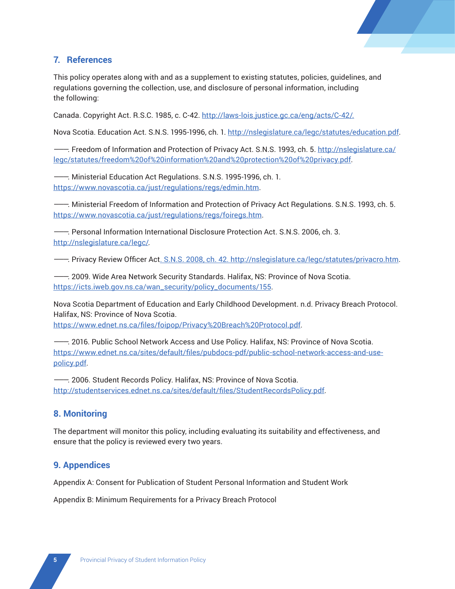

# **7. References**

This policy operates along with and as a supplement to existing statutes, policies, guidelines, and regulations governing the collection, use, and disclosure of personal information, including the following:

Canada. Copyright Act. R.S.C. 1985, c. C-42. <http://laws-lois.justice.gc.ca/eng/acts/C-42/>.

Nova Scotia. Education Act. S.N.S. 1995-1996, ch. 1. [http://nslegislature.ca/legc/statutes/education.pdf.](http://nslegislature.ca/legc/statutes/education.pdf)

———. Freedom of Information and Protection of Privacy Act. S.N.S. 1993, ch. 5. [http://nslegislature.ca/](http://nslegislature.ca/legc/statutes/freedom%20of%20information%20and%20protection%20of%20privacy.pdf) [legc/statutes/freedom%20of%20information%20and%20protection%20of%20privacy.pdf](http://nslegislature.ca/legc/statutes/freedom%20of%20information%20and%20protection%20of%20privacy.pdf).

———. Ministerial Education Act Regulations. S.N.S. 1995-1996, ch. 1. [https://www.novascotia.ca/just/regulations/regs/edmin.htm.](https://www.novascotia.ca/just/regulations/regs/edmin.htm)

———. Ministerial Freedom of Information and Protection of Privacy Act Regulations. S.N.S. 1993, ch. 5. <https://www.novascotia.ca/just/regulations/regs/foiregs.htm>.

———. Personal Information International Disclosure Protection Act. S.N.S. 2006, ch. 3. [http://nslegislature.ca/legc/](file:///C:\Users\colboula.NSGOV\AppData\Roaming\Microsoft\Word\Policy%20References.docx).

———. Privacy Review Officer Act. S.N.S. 2008, ch. 42. [http://nslegislature.ca/legc/statutes/privacro.htm.](http://nslegislature.ca/legc/statutes/privacro.htm)

———. 2009. Wide Area Network Security Standards. Halifax, NS: Province of Nova Scotia. [https://icts.iweb.gov.ns.ca/wan\\_security/policy\\_documents/155](https://icts.iweb.gov.ns.ca/wan_security/policy_documents/155).

Nova Scotia Department of Education and Early Childhood Development. n.d. Privacy Breach Protocol. Halifax, NS: Province of Nova Scotia.

<https://www.ednet.ns.ca/files/foipop/Privacy%20Breach%20Protocol.pdf>.

———. 2016. Public School Network Access and Use Policy. Halifax, NS: Province of Nova Scotia. [https://www.ednet.ns.ca/sites/default/files/pubdocs-pdf/public-school-network-access-and-use](https://www.ednet.ns.ca/sites/default/files/pubdocs-pdf/public-school-network-access-and-use-policy.pdf)[policy.pdf](https://www.ednet.ns.ca/sites/default/files/pubdocs-pdf/public-school-network-access-and-use-policy.pdf).

———. 2006. Student Records Policy. Halifax, NS: Province of Nova Scotia. <http://studentservices.ednet.ns.ca/sites/default/files/StudentRecordsPolicy.pdf>.

### **8. Monitoring**

The department will monitor this policy, including evaluating its suitability and effectiveness, and ensure that the policy is reviewed every two years.

### **9. Appendices**

Appendix A: Consent for Publication of Student Personal Information and Student Work

Appendix B: Minimum Requirements for a Privacy Breach Protocol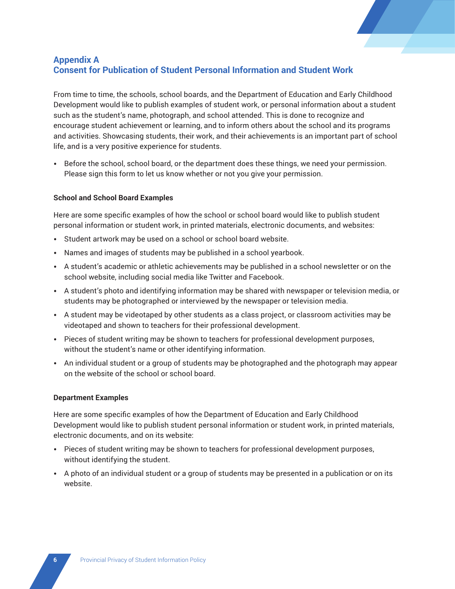

# **Appendix A Consent for Publication of Student Personal Information and Student Work**

From time to time, the schools, school boards, and the Department of Education and Early Childhood Development would like to publish examples of student work, or personal information about a student such as the student's name, photograph, and school attended. This is done to recognize and encourage student achievement or learning, and to inform others about the school and its programs and activities. Showcasing students, their work, and their achievements is an important part of school life, and is a very positive experience for students.

• Before the school, school board, or the department does these things, we need your permission. Please sign this form to let us know whether or not you give your permission.

#### **School and School Board Examples**

Here are some specific examples of how the school or school board would like to publish student personal information or student work, in printed materials, electronic documents, and websites:

- Student artwork may be used on a school or school board website.
- Names and images of students may be published in a school yearbook.
- A student's academic or athletic achievements may be published in a school newsletter or on the school website, including social media like Twitter and Facebook.
- A student's photo and identifying information may be shared with newspaper or television media, or students may be photographed or interviewed by the newspaper or television media.
- A student may be videotaped by other students as a class project, or classroom activities may be videotaped and shown to teachers for their professional development.
- Pieces of student writing may be shown to teachers for professional development purposes, without the student's name or other identifying information.
- An individual student or a group of students may be photographed and the photograph may appear on the website of the school or school board.

#### **Department Examples**

Here are some specific examples of how the Department of Education and Early Childhood Development would like to publish student personal information or student work, in printed materials, electronic documents, and on its website:

- Pieces of student writing may be shown to teachers for professional development purposes, without identifying the student.
- A photo of an individual student or a group of students may be presented in a publication or on its website.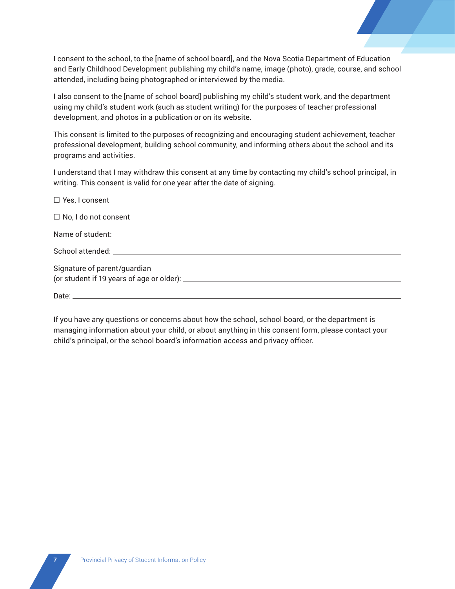I consent to the school, to the [name of school board], and the Nova Scotia Department of Education and Early Childhood Development publishing my child's name, image (photo), grade, course, and school attended, including being photographed or interviewed by the media.

I also consent to the [name of school board] publishing my child's student work, and the department using my child's student work (such as student writing) for the purposes of teacher professional development, and photos in a publication or on its website.

This consent is limited to the purposes of recognizing and encouraging student achievement, teacher professional development, building school community, and informing others about the school and its programs and activities.

I understand that I may withdraw this consent at any time by contacting my child's school principal, in writing. This consent is valid for one year after the date of signing.

| $\Box$ Yes, I consent        |
|------------------------------|
| $\Box$ No, I do not consent  |
|                              |
|                              |
| Signature of parent/guardian |
|                              |

If you have any questions or concerns about how the school, school board, or the department is managing information about your child, or about anything in this consent form, please contact your child's principal, or the school board's information access and privacy officer.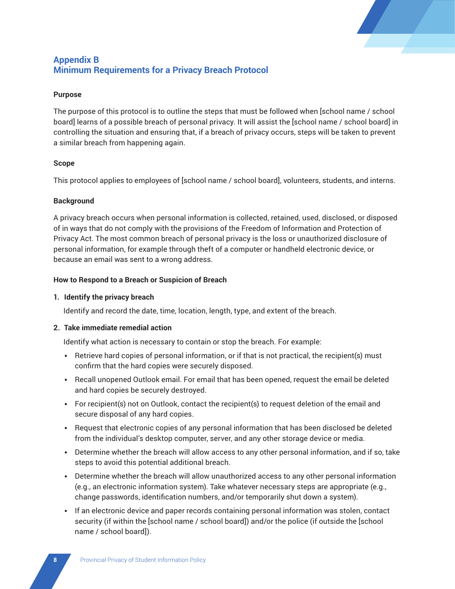

# **Appendix B Minimum Requirements for a Privacy Breach Protocol**

### **Purpose**

The purpose of this protocol is to outline the steps that must be followed when [school name / school board] learns of a possible breach of personal privacy. It will assist the [school name / school board] in controlling the situation and ensuring that, if a breach of privacy occurs, steps will be taken to prevent a similar breach from happening again.

#### **Scope**

This protocol applies to employees of [school name / school board], volunteers, students, and interns.

### **Background**

A privacy breach occurs when personal information is collected, retained, used, disclosed, or disposed of in ways that do not comply with the provisions of the Freedom of Information and Protection of Privacy Act. The most common breach of personal privacy is the loss or unauthorized disclosure of personal information, for example through theft of a computer or handheld electronic device, or because an email was sent to a wrong address.

### **How to Respond to a Breach or Suspicion of Breach**

### **1. Identify the privacy breach**

Identify and record the date, time, location, length, type, and extent of the breach.

### **2. Take immediate remedial action**

Identify what action is necessary to contain or stop the breach. For example:

- Retrieve hard copies of personal information, or if that is not practical, the recipient(s) must confirm that the hard copies were securely disposed.
- Recall unopened Outlook email. For email that has been opened, request the email be deleted and hard copies be securely destroyed.
- For recipient(s) not on Outlook, contact the recipient(s) to request deletion of the email and secure disposal of any hard copies.
- Request that electronic copies of any personal information that has been disclosed be deleted from the individual's desktop computer, server, and any other storage device or media.
- Determine whether the breach will allow access to any other personal information, and if so, take steps to avoid this potential additional breach.
- Determine whether the breach will allow unauthorized access to any other personal information (e.g., an electronic information system). Take whatever necessary steps are appropriate (e.g., change passwords, identification numbers, and/or temporarily shut down a system).
- If an electronic device and paper records containing personal information was stolen, contact security (if within the [school name / school board]) and/or the police (if outside the [school name / school board]).